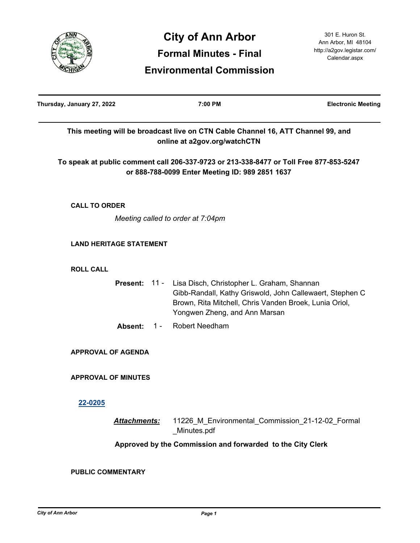

**Environmental Commission**

| Thursday, January 27, 2022     |       | 7:00 PM                                                                                                                                                                                           | <b>Electronic Meeting</b> |
|--------------------------------|-------|---------------------------------------------------------------------------------------------------------------------------------------------------------------------------------------------------|---------------------------|
|                                |       | This meeting will be broadcast live on CTN Cable Channel 16, ATT Channel 99, and<br>online at a2gov.org/watchCTN                                                                                  |                           |
|                                |       | To speak at public comment call 206-337-9723 or 213-338-8477 or Toll Free 877-853-5247<br>or 888-788-0099 Enter Meeting ID: 989 2851 1637                                                         |                           |
| <b>CALL TO ORDER</b>           |       |                                                                                                                                                                                                   |                           |
|                                |       | Meeting called to order at 7:04pm                                                                                                                                                                 |                           |
| <b>LAND HERITAGE STATEMENT</b> |       |                                                                                                                                                                                                   |                           |
| <b>ROLL CALL</b>               |       |                                                                                                                                                                                                   |                           |
| Present: 11 -                  |       | Lisa Disch, Christopher L. Graham, Shannan<br>Gibb-Randall, Kathy Griswold, John Callewaert, Stephen C<br>Brown, Rita Mitchell, Chris Vanden Broek, Lunia Oriol,<br>Yongwen Zheng, and Ann Marsan |                           |
| Absent:                        | $1 -$ | <b>Robert Needham</b>                                                                                                                                                                             |                           |
| <b>APPROVAL OF AGENDA</b>      |       |                                                                                                                                                                                                   |                           |
| <b>APPROVAL OF MINUTES</b>     |       |                                                                                                                                                                                                   |                           |
| 22-0205                        |       |                                                                                                                                                                                                   |                           |
| <b>Attachments:</b>            |       | 11226_M_Environmental_Commission_21-12-02_Formal<br>Minutes.pdf                                                                                                                                   |                           |
|                                |       | Approved by the Commission and forwarded to the City Clerk                                                                                                                                        |                           |
| <b>PUBLIC COMMENTARY</b>       |       |                                                                                                                                                                                                   |                           |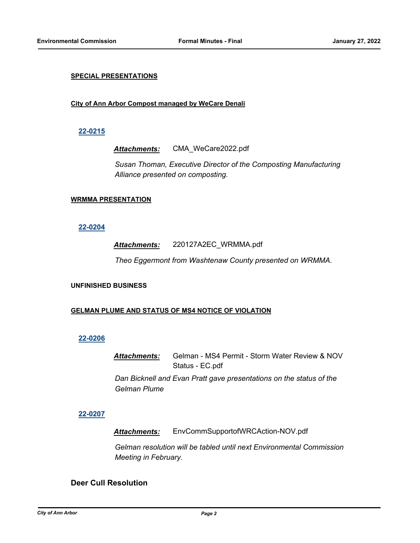## **SPECIAL PRESENTATIONS**

## **City of Ann Arbor Compost managed by WeCare Denali**

## **[22-0215](http://a2gov.legistar.com/gateway.aspx?M=L&ID=29402)**

*Attachments:* CMA\_WeCare2022.pdf

*Susan Thoman, Executive Director of the Composting Manufacturing Alliance presented on composting.*

### **WRMMA PRESENTATION**

## **[22-0204](http://a2gov.legistar.com/gateway.aspx?M=L&ID=29391)**

## *Attachments:* 220127A2EC\_WRMMA.pdf

*Theo Eggermont from Washtenaw County presented on WRMMA.*

### **UNFINISHED BUSINESS**

### **GELMAN PLUME AND STATUS OF MS4 NOTICE OF VIOLATION**

### **[22-0206](http://a2gov.legistar.com/gateway.aspx?M=L&ID=29393)**

*Attachments:* Gelman - MS4 Permit - Storm Water Review & NOV Status - EC.pdf

*Dan Bicknell and Evan Pratt gave presentations on the status of the Gelman Plume*

# **[22-0207](http://a2gov.legistar.com/gateway.aspx?M=L&ID=29394)**

*Attachments:* EnvCommSupportofWRCAction-NOV.pdf

*Gelman resolution will be tabled until next Environmental Commission Meeting in February.*

# **Deer Cull Resolution**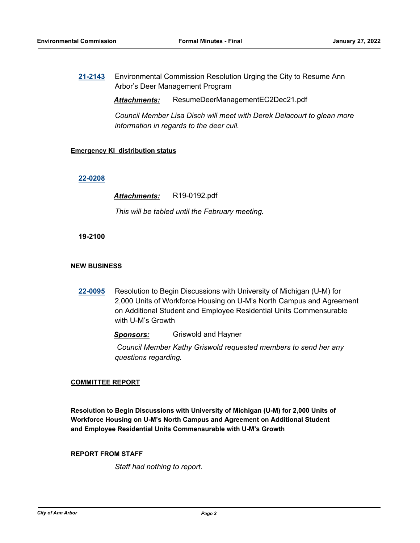**[21-2143](http://a2gov.legistar.com/gateway.aspx?M=L&ID=29062)** Environmental Commission Resolution Urging the City to Resume Ann Arbor's Deer Management Program

*Attachments:* ResumeDeerManagementEC2Dec21.pdf

*Council Member Lisa Disch will meet with Derek Delacourt to glean more information in regards to the deer cull.*

## **Emergency KI distribution status**

### **[22-0208](http://a2gov.legistar.com/gateway.aspx?M=L&ID=29395)**

*Attachments:* R19-0192.pdf

*This will be tabled until the February meeting.*

## **19-2100**

## **NEW BUSINESS**

**[22-0095](http://a2gov.legistar.com/gateway.aspx?M=L&ID=29286)** Resolution to Begin Discussions with University of Michigan (U-M) for 2,000 Units of Workforce Housing on U-M's North Campus and Agreement on Additional Student and Employee Residential Units Commensurable with U-M's Growth

*Sponsors:* Griswold and Hayner

 *Council Member Kathy Griswold requested members to send her any questions regarding.*

### **COMMITTEE REPORT**

**Resolution to Begin Discussions with University of Michigan (U-M) for 2,000 Units of Workforce Housing on U-M's North Campus and Agreement on Additional Student and Employee Residential Units Commensurable with U-M's Growth**

### **REPORT FROM STAFF**

*Staff had nothing to report.*